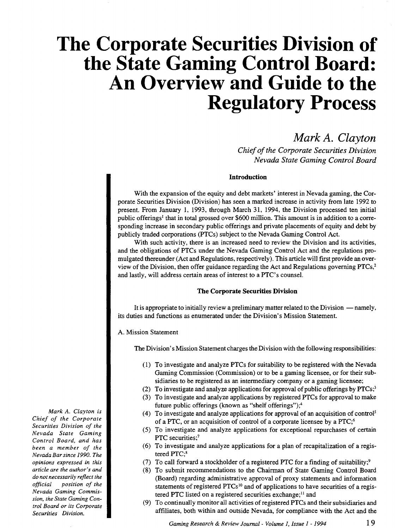# **The Corporate Securities Division of the State Gaming Control Board: An Overview and Guide to the Regulatory Process**

### *Mark A. Clayton*

*Chief of the Corporate Securities Division Nevada State Gaming Control Board* 

#### **Introduction**

With the expansion of the equity and debt markets' interest in Nevada gaming, the Corporate Securities Division (Division) has seen a marked increase in activity from late 1992 to present. From January I, 1993, through March 31, 1994, the Division processed ten initial public offerings<sup>1</sup> that in total grossed over \$600 million. This amount is in addition to a corresponding increase in secondary public offerings and private placements of equity and debt by publicly traded corporations (PTCs) subject to the Nevada Gaming Control Act.

With such activity, there is an increased need to review the Division and its activities, and the obligations of PTCs under the Nevada Gaming Control Act and the regulations promulgated thereunder (Act and Regulations, respectively). This article will first provide an overview of the Division, then offer guidance regarding the Act and Regulations governing  $PTCs<sub>2</sub>$ and lastly, will address certain areas of interest to a PTC's counsel.

#### **The Corporate Securities Division**

It is appropriate to initially review a preliminary matter related to the Division  $-$  namely, its duties and functions as enumerated under the Division's Mission Statement.

#### A. Mission Statement

The Division's Mission Statement charges the Division with the following responsibilities:

- (1) To investigate and analyze PTCs for suitability to be registered with the Nevada Gaming Commission (Commission) or to be a gaming licensee, or for their subsidiaries to be registered as an intermediary company or a gaming licensee;
- (2) To investigate and analyze applications for approval of public offerings by  $PTCs$ ;<sup>3</sup>
- (3) To investigate and analyze applications by registered PTCs for approval to make future public offerings (known as "shelf offerings");<sup>4</sup>
- (4) To investigate and analyze applications for approval of an acquisition of control<sup>5</sup> of a PTC, or an acquisition of control of a corporate licensee by a PTC;6
- (5) To investigate and analyze applications for exceptional repurchases of certain PTC securities;<sup>7</sup>
- (6) To investigate and analyze applications for a plan of recapitalization of a registered PTC;<sup>8</sup>
- (7) To call forward a stockholder of a registered PTC for a finding of suitability;<sup>9</sup>
- (8) To submit recommendations to the Chairman of State Gaming Control Board (Board) regarding administrative approval of proxy statements and information statements of registered PTCs<sup>10</sup> and of applications to have securities of a registered PTC listed on a registered securities exchange;<sup>11</sup> and
- (9) To continually monitor all activities of registered PTCs and their subsidiaries and affiliates, both within and outside Nevada, for compliance with the Act and the

*Gaming Research* & *Review Journal- Volume 1, Issue 1- 1994* 19

*Mark A. Clayton is Chief of the Corporate Securities Division of the Nevada State Gaming Control Board, and has been a member of the Nevada Bar since 1990. The opinions expressed in this article are the author's and do not necessarily reflect the official position of the Nevada Gaming Commission, the State Gaming Control Board or its Corporate Securities Division.*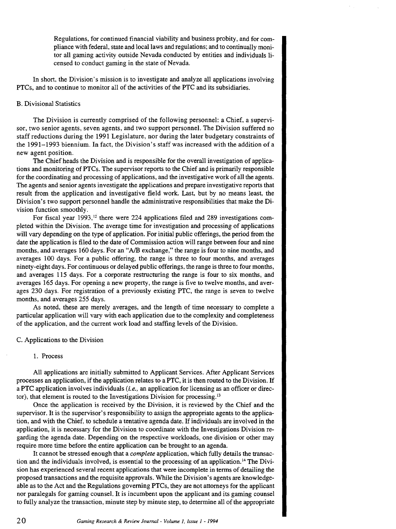Regulations, for continued financial viability and business probity, and for compliance with federal, state and local laws and regulations; and to continually monitor all gaming activity outside Nevada conducted by entities and individuals licensed to conduct gaming in the state of Nevada.

In short, the Division's mission is to investigate and analyze all applications involving PTCs, and to continue to monitor all of the activities of the PTC and its subsidiaries.

#### B. Divisional Statistics

The Division is currently comprised of the following personnel: a Chief, a supervisor, two senior agents, seven agents, and two support personnel. The Division suffered no staff reductions during the 1991 Legislature, nor during the later budgetary constraints of the 1991-1993 biennium. In fact, the Division's staff was increased with the addition of a new agent position.

The Chief heads the Division and is responsible for the overall investigation of applications and monitoring of PTCs. The supervisor reports to the Chief and is primarily responsible for the coordinating and processing of applications, and the investigative work of all the agents. The agents and senior agents investigate the applications and prepare investigative reports that result from the application and investigative field work. Last, but by no means least, the Division's two support personnel handle the administrative responsibilities that make the Division function smoothly.

For fiscal year 1993,<sup>12</sup> there were 224 applications filed and 289 investigations completed within the Division. The average time for investigation and processing of applications will vary depending on the type of application. For initial public offerings, the period from the date the application is filed to the date of Commission action will range between four and nine months, and averages 160 days. For an *"AlB* exchange," the range is four to nine months, and averages 100 days. For a public offering, the range is three to four months, and averages ninety-eight days. For continuous or delayed public offerings, the range is three to four months, and averages 115 days. For a corporate restructuring the range is four to six months, and averages 165 days. For opening a new property, the range is five to twelve months, and averages 230 days. For registration of a previously existing PTC, the range is seven to twelve months, and averages 255 days.

As noted, these are merely averages, and the length of time necessary to complete a particular application will vary with each application due to the complexity and completeness of the application, and the current work load and staffing levels of the Division.

#### C. Applications to the Division

#### 1. Process

All applications are initially submitted to Applicant Services. After Applicant Services processes an application, if the application relates to a PTC, it is then routed to the Division. If a PTC application involves individuals *(i.e.,* an application for licensing as an officer or director), that element is routed to the Investigations Division for processing. <sup>13</sup>

Once the application is received by the Division, it is reviewed by the Chief and the supervisor. It is the supervisor's responsibility to assign the appropriate agents to the application, and with the Chief, to schedule a tentative agenda date. If individuals are involved in the application, it is necessary for the Division to coordinate with the Investigations Division regarding the agenda date. Depending on the respective workloads, one division or other may require more time before the entire application can be brought to an agenda.

It cannot be stressed enough that a *complete* application, which fully details the transaction and the individuals involved, is essential to the processing of an application. 14 The Division has experienced several recent applications that were incomplete in terms of detailing the proposed transactions and the requisite approvals. While the Division's agents are knowledgeable as to the Act and the Regulations governing PTCs, they are not attorneys for the applicant nor paralegals for gaming counsel. It is incumbent upon the applicant and its gaming counsel to fully analyze the transaction, minute step by minute step, to determine all of the appropriate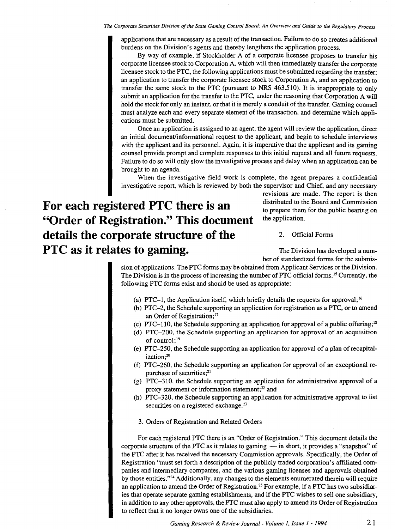*The Corporate Securities Division of the State Gaming Control Board: An Overview and Guide to the Regulatory Process* 

applications that are necessary as a result of the transaction. Failure to do so creates additional burdens on the Division's agents and thereby lengthens the application process.

By way of example, if Stockholder A of a corporate licensee proposes to transfer his corporate licensee stock to Corporation A, which will then immediately transfer the corporate licensee stock to the PTC, the following applications must be submitted regarding the transfer: an application to transfer the corporate licensee stock to Corporation A, and an application to transfer the same stock to the PTC (pursuant to NRS 463.510). It is inappropriate to only submit an application for the transfer to the PTC, under the reasoning that Corporation A will hold the stock for only an instant, or that it is merely a conduit of the transfer. Gaming counsel must analyze each and every separate element of the transaction, and determine which applications must be submitted.

Once an application is assigned to an agent, the agent will review the application, direct an initial document/informational request to the applicant, and begin to schedule interviews with the applicant and its personnel. Again, it is imperative that the applicant and its gaming counsel provide prompt and complete responses to this initial request and all future requests. Failure to do so will only slow the investigative process and delay when an application can be brought to an agenda.

When the investigative field work is complete, the agent prepares a confidential investigative report, which is reviewed by both the supervisor and Chief, and any necessary

## **For each registered PTC there is an "Order of Registration." This document details the corporate structure of the PTC as it relates to gaming.**

revisions are made. The report is then distributed to the Board and Commission to prepare them for the public hearing on the application.

2. Official Forms

The Division has developed a number of standardized forms for the submis-

sion of applications. The PTC forms may be obtained from Applicant Services or the Division. The Division is in the process of increasing the number of PTC official forms. 15 Currently, the following PTC forms exist and should be used as appropriate:

- (a) PTC-1, the Application itself, which briefly details the requests for approval; <sup>16</sup>
- (b) PTC-2, the Schedule supporting an application for registration as a PTC, or to amend an Order of Registration;<sup>17</sup>
- (c) PTC-110, the Schedule supporting an application for approval of a public offering;<sup>18</sup>
- (d) PTC-200, the Schedule supporting an application for approval of an acquisition of control;<sup>19</sup>
- (e) PTC-250, the Schedule supporting an application for approval of a plan of recapitalization;<sup>20</sup>
- (f) PTC-260, the Schedule supporting an application for approval of an exceptional repurchase of securities;<sup>21</sup>
- (g) PTC-310, the Schedule supporting an application for administrative approval of a proxy statement or information statement;<sup>22</sup> and
- (h) PTC-320, the Schedule supporting an application for administrative approval to list securities on a registered exchange.<sup>23</sup>
	- 3. Orders of Registration and Related Orders

For each registered PTC there is an "Order of Registration." This document details the corporate structure of the PTC as it relates to gaming - in short, it provides a "snapshot" of the PTC after it has received the necessary Commission approvals. Specifically, the Order of Registration "must set forth a description of the publicly traded corporation's affiliated companies and intermediary companies, and the various gaming licenses and approvals obtained by those entities."<sup>24</sup> Additionally, any changes to the elements enumerated therein will require an application to amend the Order of Registration.<sup>25</sup> For example, if a PTC has two subsidiaries that operate separate gaming establishments, and if the PTC wishes to sell one subsidiary, in addition to any other approvals, the PTC must also apply to amend its Order of Registration to reflect that it no longer owns one of the subsidiaries.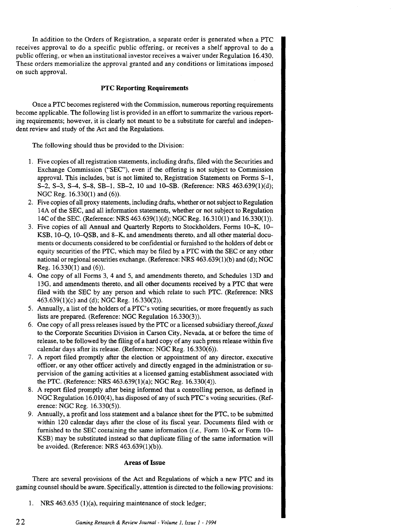In addition to the Orders of Registration, a separate order is generated when a PTC receives approval to do a specific public offering, or receives a shelf approval to do a public offering, or when an institutional investor receives a waiver under Regulation 16.430. These orders memorialize the approval granted and any conditions or limitations imposed on such approval.

#### PTC Reporting Requirements

Once a PTC becomes registered with the Commission, numerous reporting requirements become applicable. The following list is provided in an effort to summarize the various reporting requirements; however, it is clearly not meant to be a substitute for careful and independent review and study of the Act and the Regulations.

The following should thus be provided to the Division:

- 1. Five copies of all registration statements, including drafts, filed with the Securities and Exchange Commission ("SEC"), even if the offering is not subject to Commission approval. This includes, but is not limited to, Registration Statements on Forms S-1, S-2, S-3, S-4, S-8, SB-1, SB-2, 10 and 10-SB. (Reference: NRS 463.639(1)(d); NGC Reg. 16.330(1) and (6)).
- 2. Five copies of all proxy statements, including drafts, whether or not subject to Regulation 14A of the SEC, and all information statements, whether or not subject to Regulation 14C of the SEC. (Reference: NRS 463.639(1)(d); NGC Reg. 16.310(1) and 16.330(1)).
- 3. Five copies of all Annual and Quarterly Reports to Stockholders, Forms 10-K, 10- KSB, 10-Q, 10-QSB, and 8-K, and amendments thereto, and all other material documents or documents considered to be confidential or furnished to the holders of debt or equity securities of the PTC, which may be filed by a PTC with the SEC or any other national or regional securities exchange. (Reference: NRS 463 .639(1 )(b) and (d); NGC Reg. 16.330(1) and (6)).
- 4. One copy of all Forms 3, 4 and 5, and amendments thereto, and Schedules 13D and 13G, and amendments thereto, and all other documents received by a PTC that were filed with the SEC by any person and which relate to such PTC. (Reference: NRS 463.639(l)(c) and (d); NGC Reg. 16.330(2)).
- 5. Annually, a list of the holders of a PTC's voting securities, or more frequently as such lists are prepared. (Reference: NGC Regulation 16.330(3)).
- 6. One copy of all press releases issued by the PTC or a licensed subsidiary thereof, faxed to the Corporate Securities Division in Carson City, Nevada, at or before the time of release, to be followed by the filing of a hard copy of any such press release within five calendar days after its release. (Reference: NGC Reg. 16.330(6)).
- 7. A report filed promptly after the election or appointment of any director, executive officer, or any other officer actively and directly engaged in the administration or supervision of the gaming activities at a licensed gaming establishment associated with the PTC. (Reference: NRS 463.639(1)(a); NGC Reg. 16.330(4)).
- 8. A report filed promptly after being informed that a controlling person, as defined in NGC Regulation 16.010(4), has disposed of any of such PTC's voting securities. (Reference: NGC Reg. 16.330(5)).
- 9. Annually, a profit and loss statement and a balance sheet for the PTC, to be submitted within 120 calendar days after the close of its fiscal year. Documents filed with or furnished to the SEC containing the same information (*i.e.*, Form  $10-K$  or Form  $10-$ KSB) may be substituted instead so that duplicate filing of the same information will be avoided. (Reference: NRS  $463.639(1)(b)$ ).

#### Areas of Issue

There are several provisions of the Act and Regulations of which a new PTC and its gaming counsel should be aware. Specifically, attention is directed to the following provisions:

1. NRS 463.635 (l)(a), requiring maintenance of stock ledger;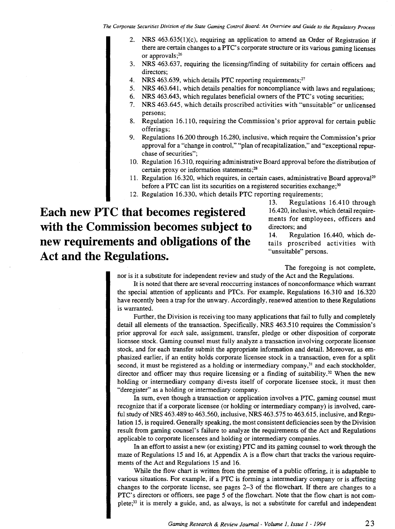- NRS  $463.635(1)(c)$ , requiring an application to amend an Order of Registration if there are certain changes to a PTC' s corporate structure or its various gaming licenses or approvals;26
- 3. NRS 463.637, requiring the licensing/finding of suitability for certain officers and directors;
- 4. NRS 463.639, which details PTC reporting requirements; $27$
- 5. NRS 463.641, which details penalties for noncompliance with laws and regulations;
- 6. NRS 463.643, which regulates beneficial owners of the PTC's voting securities;
- 7. NRS 463.645, which details proscribed activities with "unsuitable" or unlicensed persons;
- 8. Regulation 16.110, requiring the Commission's prior approval for certain public offerings;
- 9. Regulations 16.200 through 16.280, inclusive, which require the Commission's prior approval for a "change in control," "plan of recapitalization," and "exceptional repurchase of securities";
- 10. Regulation 16.310, requiring administrative Board approval before the distribution of certain proxy or information statements;<sup>28</sup>
- 11. Regulation 16.320, which requires, in certain cases, administrative Board approval<sup>29</sup> before a PTC can list its securities on a registered securities exchange;<sup>30</sup>
- 12. Regulation 16.330, which details PTC reporting requirements;

**Each new PTC that becomes registered with the Commission becomes subject to new requirements and obligations of the Act and the Regulations.** 

13. Regulations 16.410 through 16.420, inclusive, which detail requirements for employees, officers and directors; and

14. Regulation 16.440, which details proscribed activities with "unsuitable" persons.

The foregoing is not complete,

nor is it a substitute for independent review and study of the Act and the Regulations.

It is noted that there are several reoccurring instances of nonconformance which warrant the special attention of applicants and PTCs. For example, Regulations 16.310 and 16.320 have recently been a trap for the unwary. Accordingly, renewed attention to these Regulations is warranted.

Further, the Division is receiving too many applications that fail to fully and completely detail all elements of the transaction. Specifically, NRS 463.510 requires the Commission's prior approval for *each* sale, assignment, transfer, pledge or other disposition of corporate licensee stock. Gaming counsel must fully analyze a transaction involving corporate licensee stock, and for each transfer submit the appropriate information and detail. Moreover, as emphasized earlier, if an entity holds corporate licensee stock in a transaction, even for a split second, it must be registered as a holding or intermediary company,<sup>31</sup> and each stockholder, director and officer may thus require licensing or a finding of suitability.<sup>32</sup> When the new holding or intermediary company divests itself of corporate licensee stock, it must then "deregister" as a holding or intermediary company.

In sum, even though a transaction or application involves a PTC, gaming counsel must recognize that if a corporate licensee (or holding or intermediary company) is involved, careful study of NRS 463.489 to 463.560, inclusive, NRS 463.575 to 463.615, inclusive, and Regulation 15, is required. Generally speaking, the most consistent deficiencies seen by the Division result from gaming counsel's failure to analyze the requirements of the Act and Regulations applicable to corporate licensees and holding or intermediary companies.

In an effort to assist a new (or existing) PTC and its gaming counsel to work through the maze of Regulations 15 and 16, at Appendix A is a flow chart that tracks the various requirements of the Act and Regulations 15 and 16.

While the flow chart is written from the premise of a public offering, it is adaptable to various situations. For example, if a PTC is forming a intermediary company or is affecting changes to the corporate license, see pages 2-3 of the flowchart. If there are changes to a PTC' s directors or officers, see page 5 of the flowchart. Note that the flow chart is not complete;<sup>33</sup> it is merely a guide, and, as always, is not a substitute for careful and independent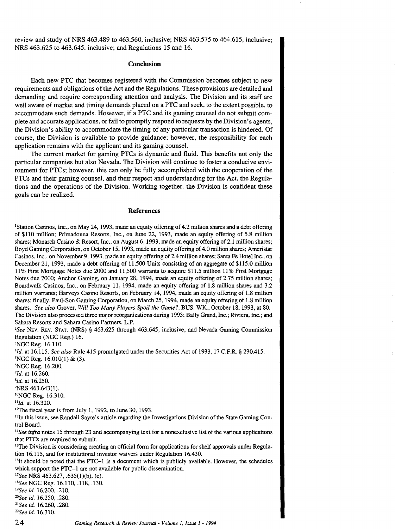review and study of NRS 463.489 to 463.560, inclusive; NRS 463.575 to 464.615, inclusive; NRS 463.625 to 463.645, inclusive; and Regulations 15 and 16.

#### **Conclusion**

Each new PTC that becomes registered with the Commission becomes subject to new requirements and obligations of the Act and the Regulations. These provisions are detailed and demanding and require corresponding attention and analysis. The Division and its staff are well aware of market and timing demands placed on a PTC and seek, to the extent possible, to accommodate such demands. However, if a PTC and its gaming counsel do not submit complete and accurate applications, or fail to promptly respond to requests by the Division's agents, the Division's ability to accommodate the timing of any particular transaction is hindered. Of course, the Division is available to provide guidance; however, the responsibility for each application remains with the applicant and its gaming counsel.

The current market for gaming PTCs is dynamic and fluid. This benefits not only the particular companies but also Nevada. The Division will continue to foster a conducive environment for PTCs; however, this can only be fully accomplished with the cooperation of the PTCs and their gaming counsel, and their respect and understanding for the Act, the Regulations and the operations of the Division. Working together, the Division is confident these goals can be realized.

#### **References**

<sup>1</sup> Station Casinos, Inc., on May 24, 1993, made an equity offering of 4.2 million shares and a debt offering of \$ll0 million; Primadonna Resorts, Inc., on June 22, 1993, made an equity offering of 5.8 million shares; Monarch Casino & Resort, Inc., on August 6, 1993, made an equity offering of 2.1 million shares; Boyd Gaming Corporation, on October 15, 1993, made an equity offering of 4.0 million shares; Ameristar Casinos, Inc., on November 9, 1993, made an equity offering of 2.4 million shares; Santa Fe Hotel Inc., on December 21, 1993, made a debt offering of ll,500 Units consisting of an aggregate of \$ll5.0 million 11% First Mortgage Notes due 2000 and 11,500 warrants to acquire \$11.5 million ll% First Mortgage Notes due 2000; Anchor Gaming, on January 28, 1994, made an equity offering of 2.75 million shares; Boardwalk Casinos, Inc., on February 11, 1994, made an equity offering of 1.8 million shares and 3.2 million warrants; Harveys Casino Resorts, on February 14, 1994, made an equity offering of 1.8 million shares; finally, Paul-Son Gaming Corporation, on March 25, 1994, made an equity offering of 1.8 million shares. *See also* Grover, *Will Too Many Players Spoil the Game?,* BUS. WK., October 18, 1993, at 80. The Division also processed three major reorganizations during 1993: Bally Grand, Inc.; Riviera, Inc.; and Sahara Resorts and Sahara Casino Partners, L.P.

<sup>2</sup>See NEv. REv. STAT. (NRS) § 463.625 through 463.645, inclusive, and Nevada Gaming Commission Regulation (NGC Reg.) 16.<br><sup>3</sup>NGC Reg. 16.110.

<sup>4</sup>Id. at 16.115. *See also* Rule 415 promulgated under the Securities Act of 1933, 17 C.F.R. § 230.415. <sup>5</sup>NGC Reg. 16.010(1) & (3). <sup>6</sup>NGC Reg. 16.200.

 $7$ Id. at 16.260.<br> $8$ Id. at 16.250.

<sup>9</sup>NRS 463.643(1).<br><sup>10</sup>NGC Reg. 16.310.<br><sup>11</sup>*Id.* at 16.320.<br><sup>12</sup>The fiscal year is from July 1, 1992, to June 30, 1993.<br><sup>12</sup>In this issue, see Randall Sayre's article regarding the Investigations Division of the State Gam trol Board.<br><sup>14</sup>See *infra* notes 15 through 23 and accompanying text for a nonexclusive list of the various applications

that PTCs are required to submit.<br><sup>15</sup>The Division is considering creating an official form for applications for shelf approvals under Regula-

tion 16.115, and for institutional investor waivers under Regulation 16.430.<br><sup>16</sup>It should be noted that the PTC-1 is a document which is publicly available. However, the schedules

which support the PTC-1 are not available for public dissemination.

<sup>17</sup>See NRS 463.627, .635(1)(b), (c).<br><sup>18</sup>See NGC Reg. 16.110, .118, .130.

19*See id.* 16.200, .210.

*20See id.* 16.250, .280.

*<sup>21</sup> See id.* 16.260, .280.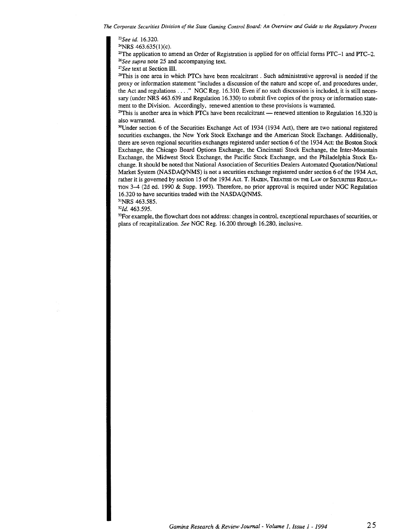*The Corporate Securities Division of the State Gaming Control Board: An Overview* and *Guide to the Regulatory Process* 

<sup>23</sup>*See id.* 16.320.<br><sup>24</sup>NRS 463.635(1)(c).

<sup>25</sup>The application to amend an Order of Registration is applied for on official forms PTC-1 and PTC-2. <sup>26</sup> See supra note 25 and accompanying text.<br><sup>27</sup> See text at Section III.<br><sup>28</sup>This is one area in which PTCs have been recalcitrant . Such administrative approval is needed if the

proxy or information statement "includes a discussion of the nature and scope of, and procedures under, the Act and regulations .... " NGC Reg. 16.310. Even if no such discussion is included, it is still necessary (under NRS 463.639 and Regulation 16.330) to submit five copies of the proxy or information statement to the Division. Accordingly, renewed attention to these provisions is warranted.

 $29$ This is another area in which PTCs have been recalcitrant — renewed attention to Regulation 16.320 is also warranted.

<sup>30</sup>Under section 6 of the Securities Exchange Act of 1934 (1934 Act), there are two national registered securities exchanges, the New York Stock Exchange and the American Stock Exchange. Additionally, there are seven regional securities exchanges registered under section 6 of the 1934 Act: the Boston Stock Exchange, the Chicago Board Options Exchange, the Cincinnati Stock Exchange, the Inter-Mountain Exchange, the Midwest Stock Exchange, the Pacific Stock Exchange, and the Philadelphia Stock Exchange. It should be noted that National Association of Securities Dealers Automated Quotation/National Market System (NASDAQ/NMS) is not a securities exchange registered under section 6 of the 1934 Act, rather it is governed by section 15 of the 1934 Act. T. HAZEN, TREATISE ON THE LAW OF SECURITIES REGULA-TION 3-4 (2d ed. 1990 & Supp. 1993). Therefore, no prior approval is required under NGC Regulation 16.320 to have securities traded with the NASDAQ/NMS.<br><sup>31</sup>NRS 463.585.<br><sup>32</sup>*Id.* 463.595. 327d. 463.595. 33For example, the flowchart does not address: changes in control, exceptional repurchases of securities, or

plans of recapitalization. *See* NGC Reg. 16.200 through 16.280, inclusive.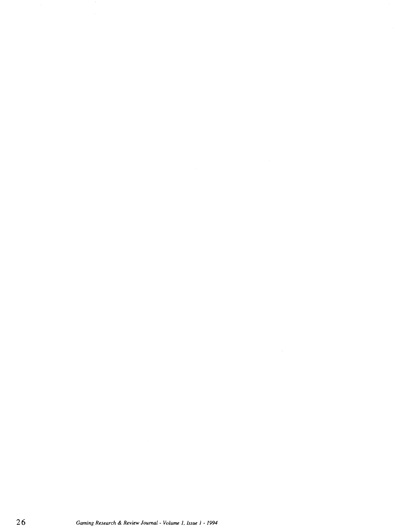Gaming Research & Review Journal - Volume 1, Issue 1 - 1994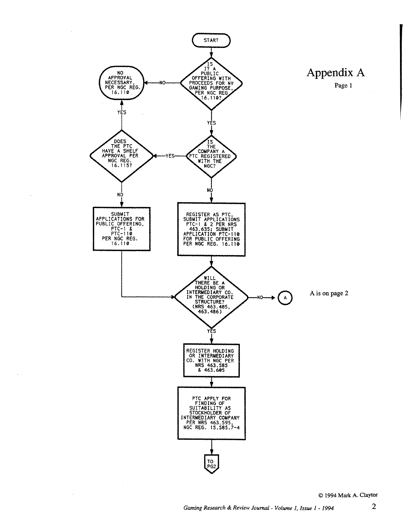

© 1994 Mark A. Claytor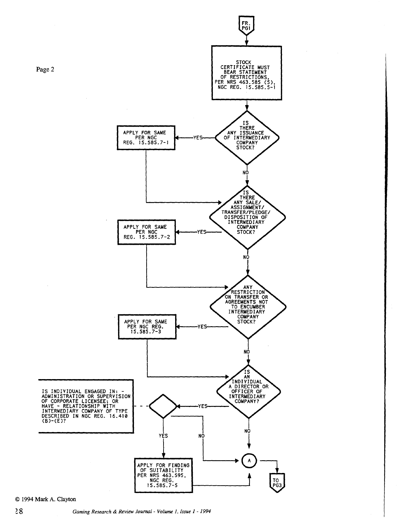

© 1994 Mark A. Clayton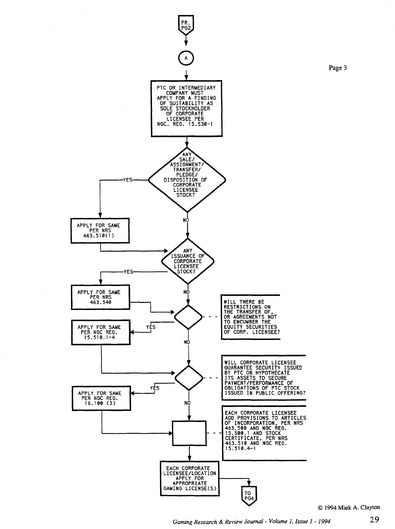

Page 3

© 1994 Mark A. Clayton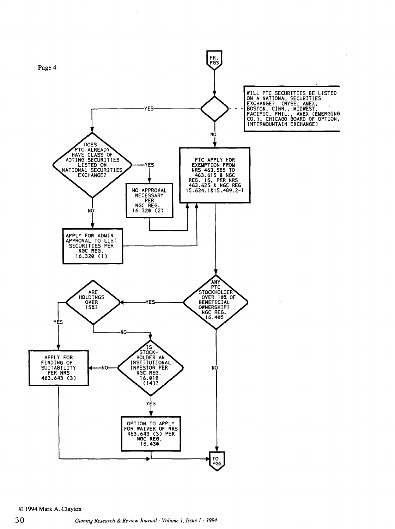

© 1994 Mark A. Clayton

 $\bar{z}$ 

 $\mathcal{L}$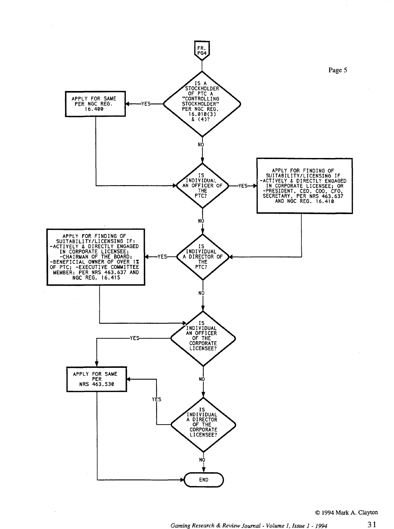